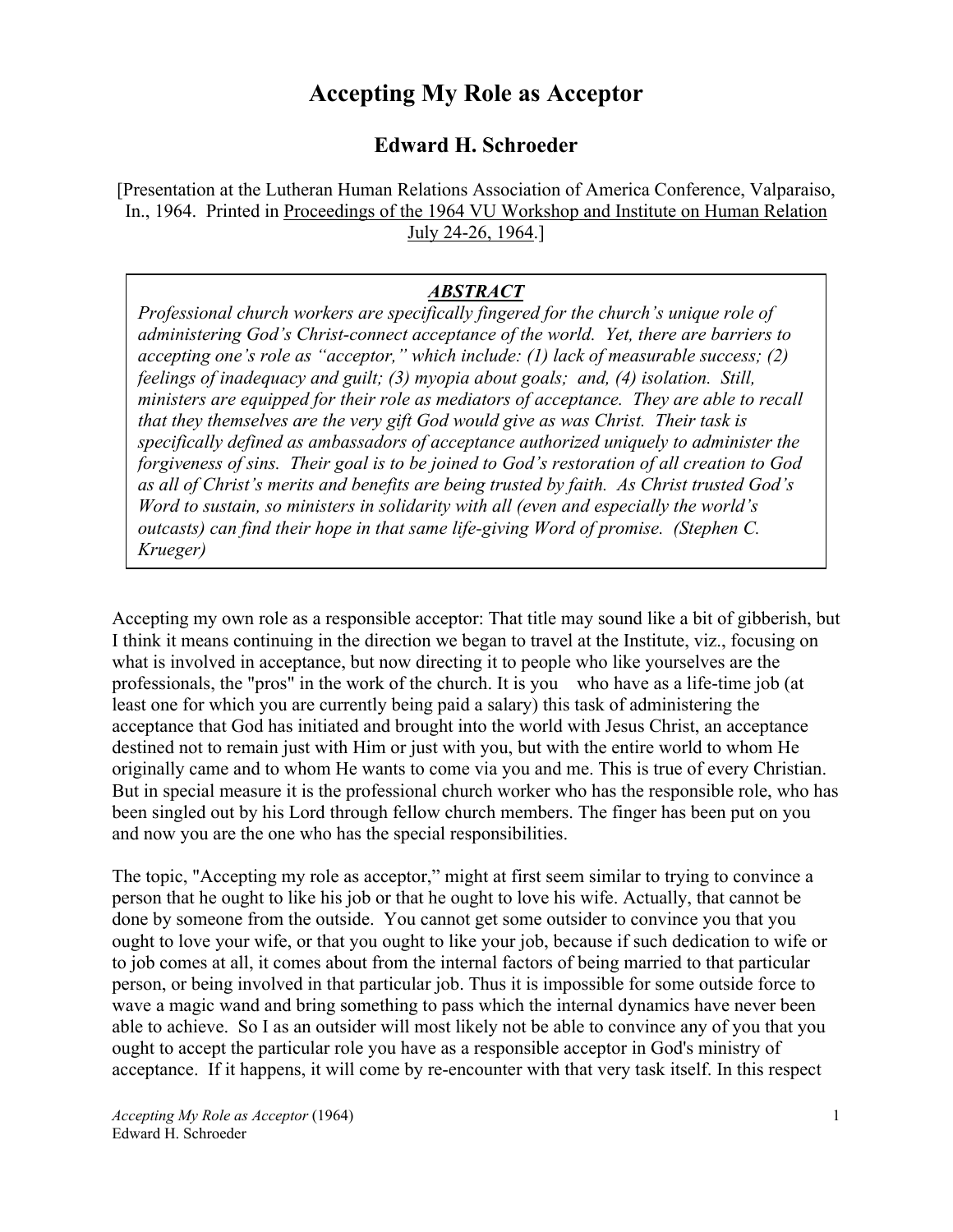# **Accepting My Role as Acceptor**

# **Edward H. Schroeder**

[Presentation at the Lutheran Human Relations Association of America Conference, Valparaiso, In., 1964. Printed in Proceedings of the 1964 VU Workshop and Institute on Human Relation July 24-26, 1964.]

# *ABSTRACT*

*Professional church workers are specifically fingered for the church's unique role of administering God's Christ-connect acceptance of the world. Yet, there are barriers to accepting one's role as "acceptor," which include: (1) lack of measurable success; (2) feelings of inadequacy and guilt; (3) myopia about goals; and, (4) isolation. Still, ministers are equipped for their role as mediators of acceptance. They are able to recall that they themselves are the very gift God would give as was Christ. Their task is specifically defined as ambassadors of acceptance authorized uniquely to administer the forgiveness of sins. Their goal is to be joined to God's restoration of all creation to God as all of Christ's merits and benefits are being trusted by faith. As Christ trusted God's Word to sustain, so ministers in solidarity with all (even and especially the world's outcasts) can find their hope in that same life-giving Word of promise. (Stephen C. Krueger)*

Accepting my own role as a responsible acceptor: That title may sound like a bit of gibberish, but I think it means continuing in the direction we began to travel at the Institute, viz., focusing on what is involved in acceptance, but now directing it to people who like yourselves are the professionals, the "pros" in the work of the church. It is you who have as a life-time job (at least one for which you are currently being paid a salary) this task of administering the acceptance that God has initiated and brought into the world with Jesus Christ, an acceptance destined not to remain just with Him or just with you, but with the entire world to whom He originally came and to whom He wants to come via you and me. This is true of every Christian. But in special measure it is the professional church worker who has the responsible role, who has been singled out by his Lord through fellow church members. The finger has been put on you and now you are the one who has the special responsibilities.

The topic, "Accepting my role as acceptor," might at first seem similar to trying to convince a person that he ought to like his job or that he ought to love his wife. Actually, that cannot be done by someone from the outside. You cannot get some outsider to convince you that you ought to love your wife, or that you ought to like your job, because if such dedication to wife or to job comes at all, it comes about from the internal factors of being married to that particular person, or being involved in that particular job. Thus it is impossible for some outside force to wave a magic wand and bring something to pass which the internal dynamics have never been able to achieve. So I as an outsider will most likely not be able to convince any of you that you ought to accept the particular role you have as a responsible acceptor in God's ministry of acceptance. If it happens, it will come by re-encounter with that very task itself. In this respect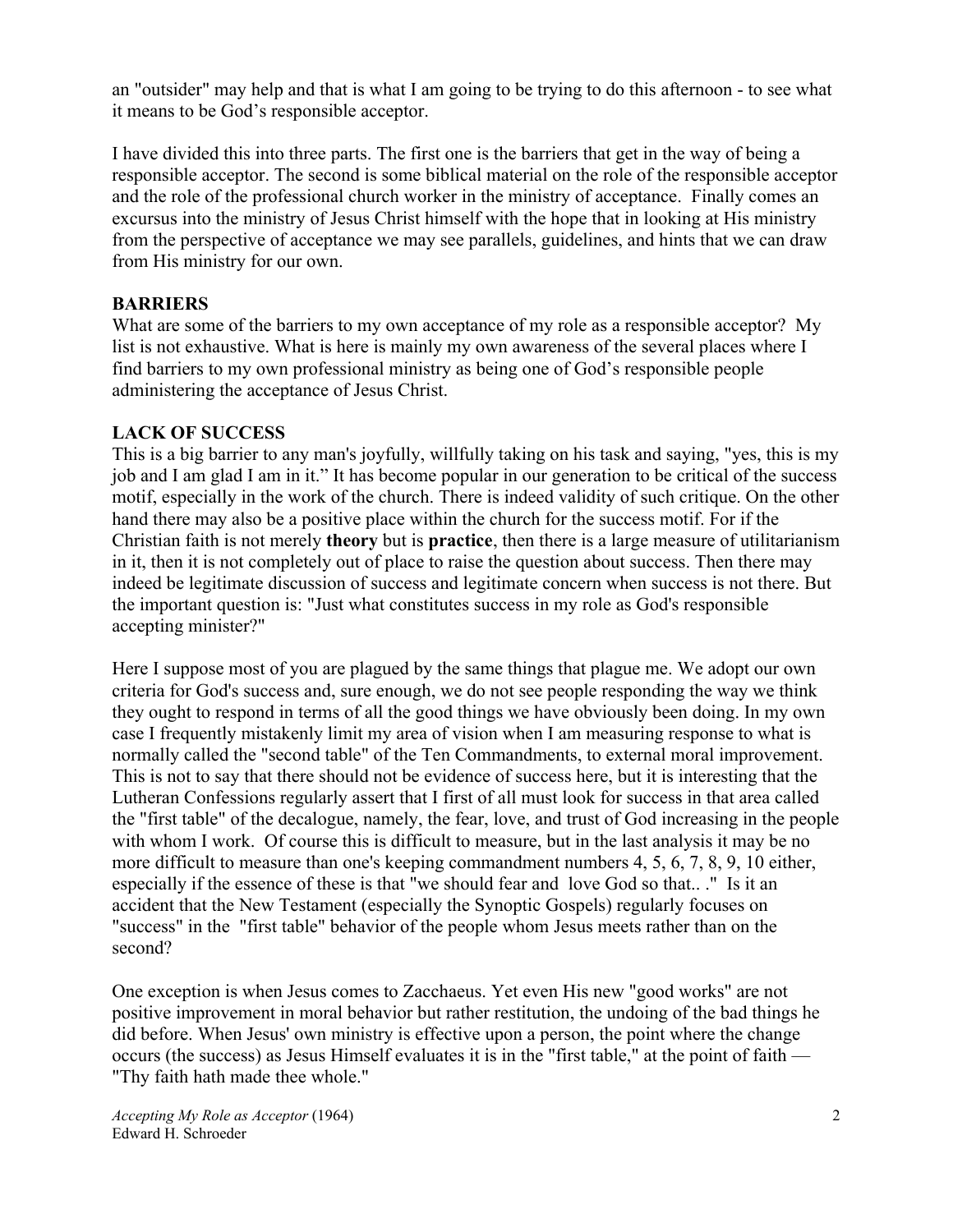an "outsider" may help and that is what I am going to be trying to do this afternoon - to see what it means to be God's responsible acceptor.

I have divided this into three parts. The first one is the barriers that get in the way of being a responsible acceptor. The second is some biblical material on the role of the responsible acceptor and the role of the professional church worker in the ministry of acceptance. Finally comes an excursus into the ministry of Jesus Christ himself with the hope that in looking at His ministry from the perspective of acceptance we may see parallels, guidelines, and hints that we can draw from His ministry for our own.

# **BARRIERS**

What are some of the barriers to my own acceptance of my role as a responsible acceptor? My list is not exhaustive. What is here is mainly my own awareness of the several places where I find barriers to my own professional ministry as being one of God's responsible people administering the acceptance of Jesus Christ.

# **LACK OF SUCCESS**

This is a big barrier to any man's joyfully, willfully taking on his task and saying, "yes, this is my job and I am glad I am in it." It has become popular in our generation to be critical of the success motif, especially in the work of the church. There is indeed validity of such critique. On the other hand there may also be a positive place within the church for the success motif. For if the Christian faith is not merely **theory** but is **practice**, then there is a large measure of utilitarianism in it, then it is not completely out of place to raise the question about success. Then there may indeed be legitimate discussion of success and legitimate concern when success is not there. But the important question is: "Just what constitutes success in my role as God's responsible accepting minister?"

Here I suppose most of you are plagued by the same things that plague me. We adopt our own criteria for God's success and, sure enough, we do not see people responding the way we think they ought to respond in terms of all the good things we have obviously been doing. In my own case I frequently mistakenly limit my area of vision when I am measuring response to what is normally called the "second table" of the Ten Commandments, to external moral improvement. This is not to say that there should not be evidence of success here, but it is interesting that the Lutheran Confessions regularly assert that I first of all must look for success in that area called the "first table" of the decalogue, namely, the fear, love, and trust of God increasing in the people with whom I work. Of course this is difficult to measure, but in the last analysis it may be no more difficult to measure than one's keeping commandment numbers 4, 5, 6, 7, 8, 9, 10 either, especially if the essence of these is that "we should fear and love God so that.. ." Is it an accident that the New Testament (especially the Synoptic Gospels) regularly focuses on "success" in the "first table" behavior of the people whom Jesus meets rather than on the second?

One exception is when Jesus comes to Zacchaeus. Yet even His new "good works" are not positive improvement in moral behavior but rather restitution, the undoing of the bad things he did before. When Jesus' own ministry is effective upon a person, the point where the change occurs (the success) as Jesus Himself evaluates it is in the "first table," at the point of faith — "Thy faith hath made thee whole."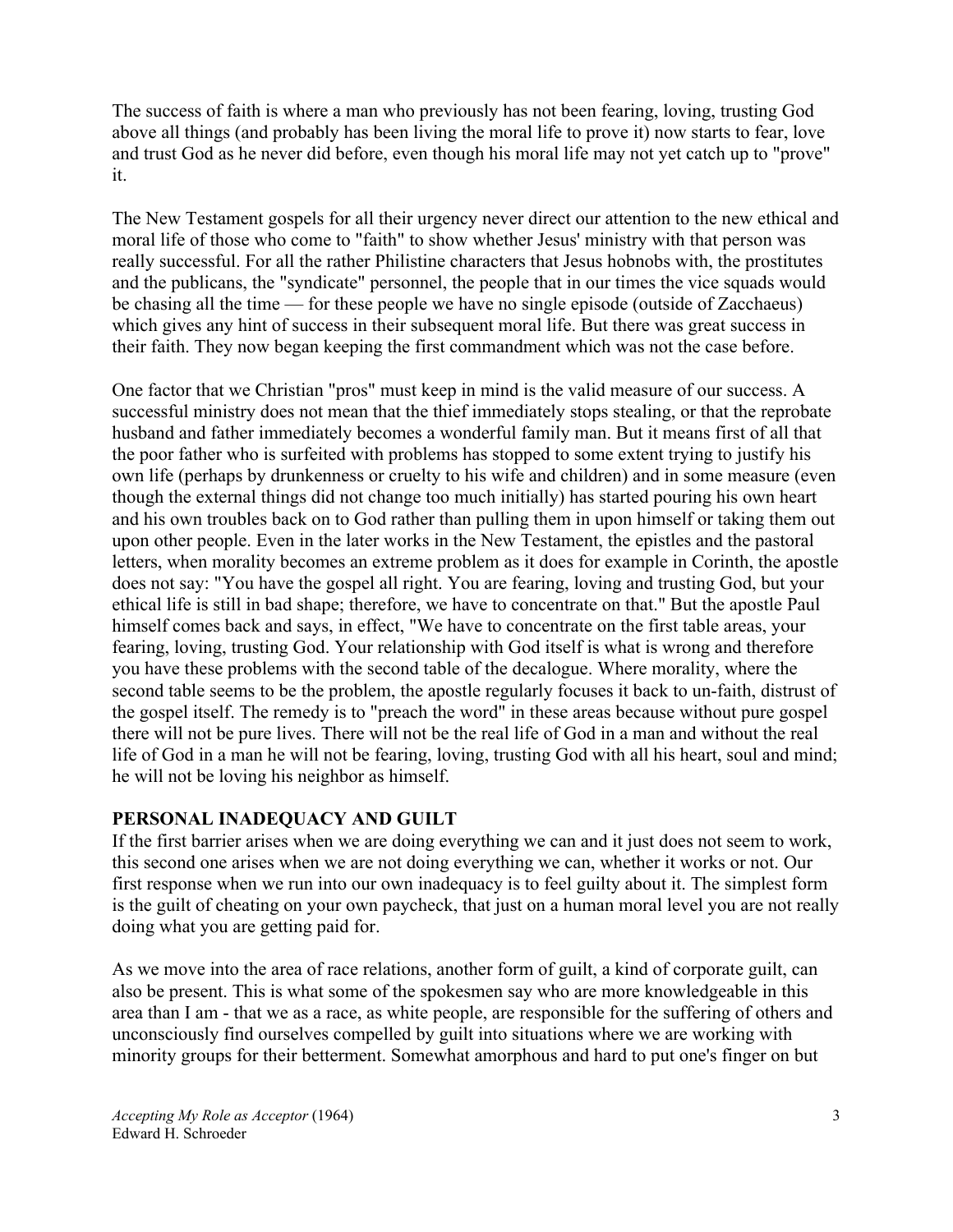The success of faith is where a man who previously has not been fearing, loving, trusting God above all things (and probably has been living the moral life to prove it) now starts to fear, love and trust God as he never did before, even though his moral life may not yet catch up to "prove" it.

The New Testament gospels for all their urgency never direct our attention to the new ethical and moral life of those who come to "faith" to show whether Jesus' ministry with that person was really successful. For all the rather Philistine characters that Jesus hobnobs with, the prostitutes and the publicans, the "syndicate" personnel, the people that in our times the vice squads would be chasing all the time — for these people we have no single episode (outside of Zacchaeus) which gives any hint of success in their subsequent moral life. But there was great success in their faith. They now began keeping the first commandment which was not the case before.

One factor that we Christian "pros" must keep in mind is the valid measure of our success. A successful ministry does not mean that the thief immediately stops stealing, or that the reprobate husband and father immediately becomes a wonderful family man. But it means first of all that the poor father who is surfeited with problems has stopped to some extent trying to justify his own life (perhaps by drunkenness or cruelty to his wife and children) and in some measure (even though the external things did not change too much initially) has started pouring his own heart and his own troubles back on to God rather than pulling them in upon himself or taking them out upon other people. Even in the later works in the New Testament, the epistles and the pastoral letters, when morality becomes an extreme problem as it does for example in Corinth, the apostle does not say: "You have the gospel all right. You are fearing, loving and trusting God, but your ethical life is still in bad shape; therefore, we have to concentrate on that." But the apostle Paul himself comes back and says, in effect, "We have to concentrate on the first table areas, your fearing, loving, trusting God. Your relationship with God itself is what is wrong and therefore you have these problems with the second table of the decalogue. Where morality, where the second table seems to be the problem, the apostle regularly focuses it back to un-faith, distrust of the gospel itself. The remedy is to "preach the word" in these areas because without pure gospel there will not be pure lives. There will not be the real life of God in a man and without the real life of God in a man he will not be fearing, loving, trusting God with all his heart, soul and mind; he will not be loving his neighbor as himself.

#### **PERSONAL INADEQUACY AND GUILT**

If the first barrier arises when we are doing everything we can and it just does not seem to work, this second one arises when we are not doing everything we can, whether it works or not. Our first response when we run into our own inadequacy is to feel guilty about it. The simplest form is the guilt of cheating on your own paycheck, that just on a human moral level you are not really doing what you are getting paid for.

As we move into the area of race relations, another form of guilt, a kind of corporate guilt, can also be present. This is what some of the spokesmen say who are more knowledgeable in this area than I am - that we as a race, as white people, are responsible for the suffering of others and unconsciously find ourselves compelled by guilt into situations where we are working with minority groups for their betterment. Somewhat amorphous and hard to put one's finger on but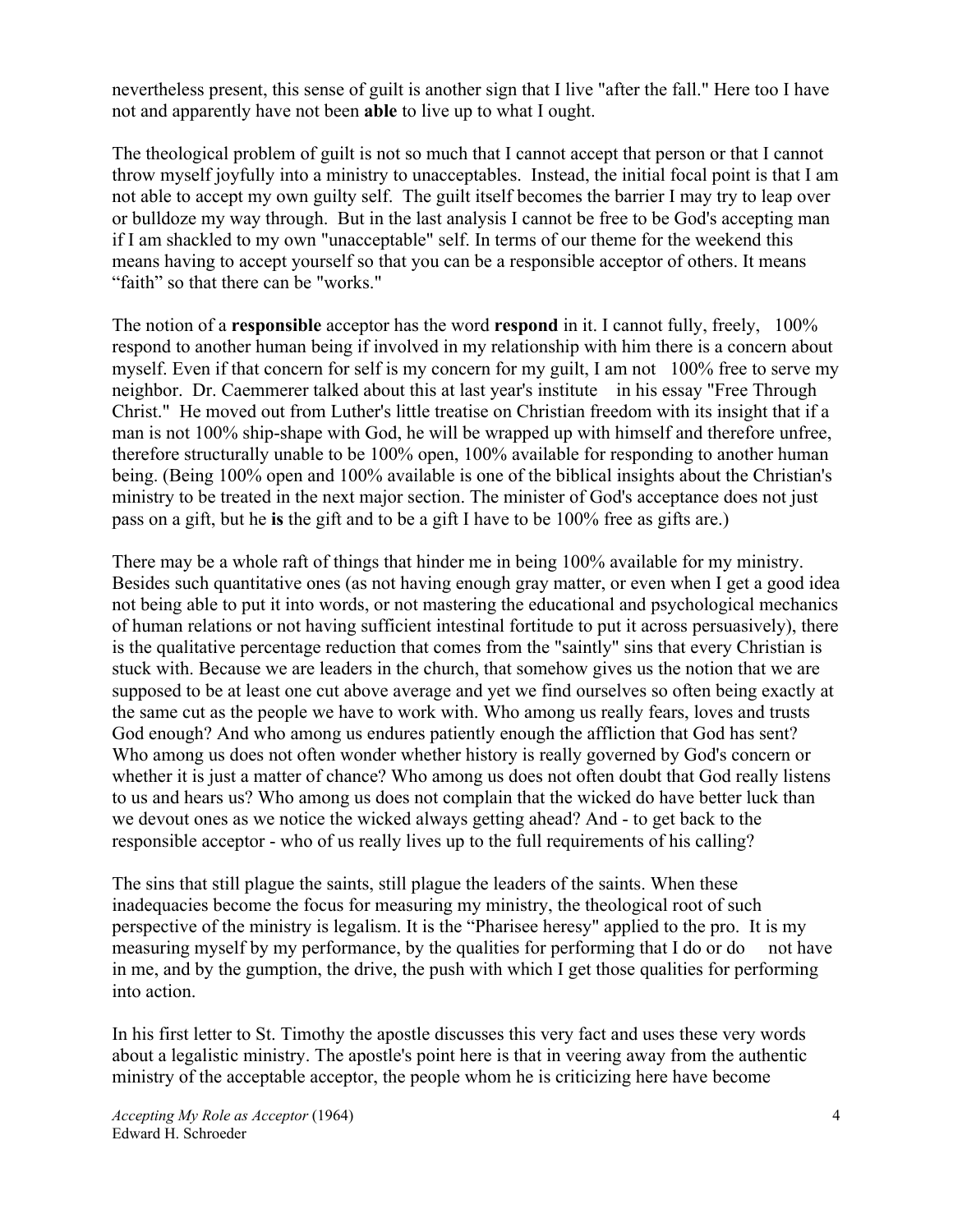nevertheless present, this sense of guilt is another sign that I live "after the fall." Here too I have not and apparently have not been **able** to live up to what I ought.

The theological problem of guilt is not so much that I cannot accept that person or that I cannot throw myself joyfully into a ministry to unacceptables. Instead, the initial focal point is that I am not able to accept my own guilty self. The guilt itself becomes the barrier I may try to leap over or bulldoze my way through. But in the last analysis I cannot be free to be God's accepting man if I am shackled to my own "unacceptable" self. In terms of our theme for the weekend this means having to accept yourself so that you can be a responsible acceptor of others. It means "faith" so that there can be "works."

The notion of a **responsible** acceptor has the word **respond** in it. I cannot fully, freely, 100% respond to another human being if involved in my relationship with him there is a concern about myself. Even if that concern for self is my concern for my guilt, I am not 100% free to serve my neighbor. Dr. Caemmerer talked about this at last year's institute in his essay "Free Through Christ." He moved out from Luther's little treatise on Christian freedom with its insight that if a man is not 100% ship-shape with God, he will be wrapped up with himself and therefore unfree, therefore structurally unable to be 100% open, 100% available for responding to another human being. (Being 100% open and 100% available is one of the biblical insights about the Christian's ministry to be treated in the next major section. The minister of God's acceptance does not just pass on a gift, but he **is** the gift and to be a gift I have to be 100% free as gifts are.)

There may be a whole raft of things that hinder me in being 100% available for my ministry. Besides such quantitative ones (as not having enough gray matter, or even when I get a good idea not being able to put it into words, or not mastering the educational and psychological mechanics of human relations or not having sufficient intestinal fortitude to put it across persuasively), there is the qualitative percentage reduction that comes from the "saintly" sins that every Christian is stuck with. Because we are leaders in the church, that somehow gives us the notion that we are supposed to be at least one cut above average and yet we find ourselves so often being exactly at the same cut as the people we have to work with. Who among us really fears, loves and trusts God enough? And who among us endures patiently enough the affliction that God has sent? Who among us does not often wonder whether history is really governed by God's concern or whether it is just a matter of chance? Who among us does not often doubt that God really listens to us and hears us? Who among us does not complain that the wicked do have better luck than we devout ones as we notice the wicked always getting ahead? And - to get back to the responsible acceptor - who of us really lives up to the full requirements of his calling?

The sins that still plague the saints, still plague the leaders of the saints. When these inadequacies become the focus for measuring my ministry, the theological root of such perspective of the ministry is legalism. It is the "Pharisee heresy" applied to the pro. It is my measuring myself by my performance, by the qualities for performing that I do or do not have in me, and by the gumption, the drive, the push with which I get those qualities for performing into action.

In his first letter to St. Timothy the apostle discusses this very fact and uses these very words about a legalistic ministry. The apostle's point here is that in veering away from the authentic ministry of the acceptable acceptor, the people whom he is criticizing here have become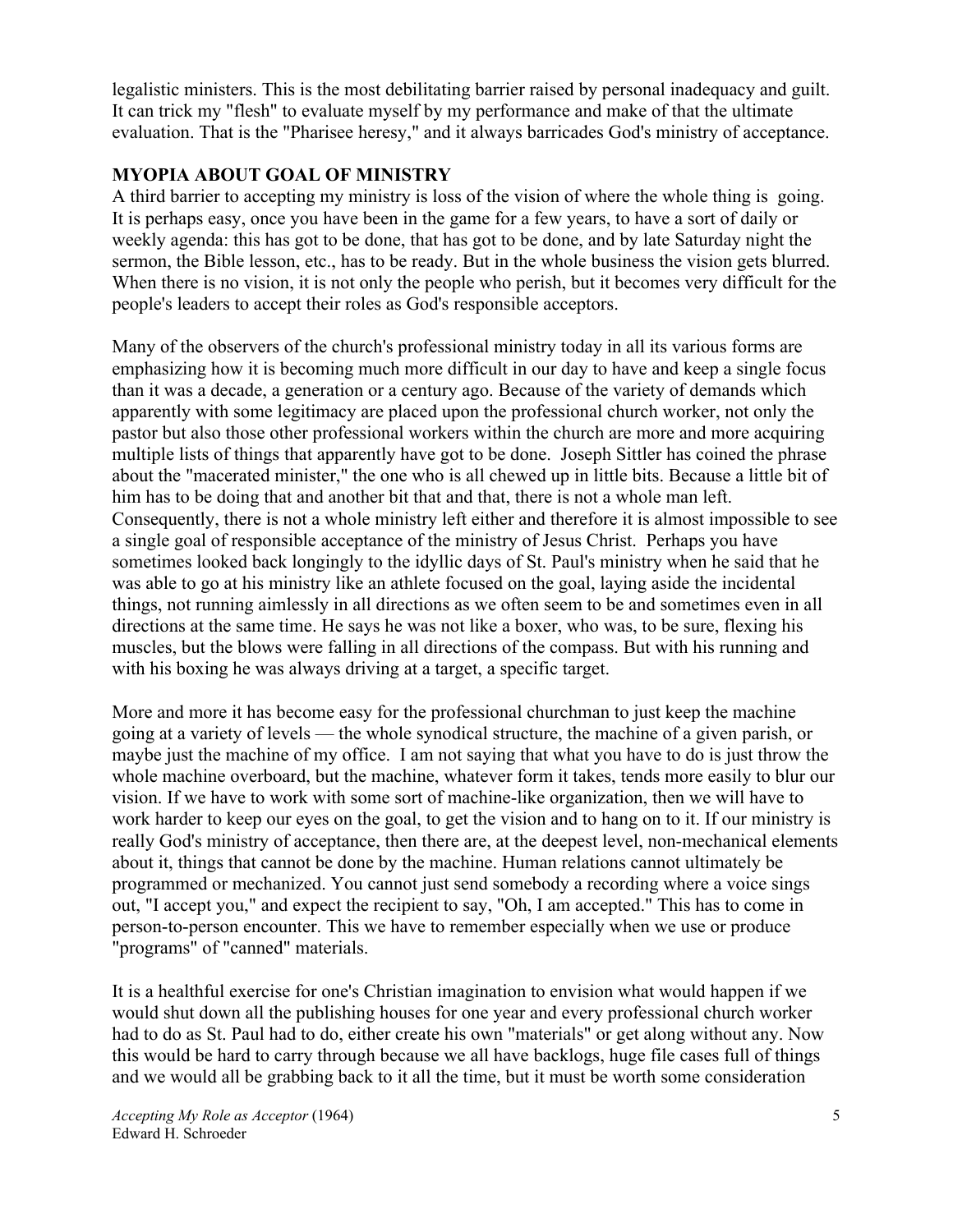legalistic ministers. This is the most debilitating barrier raised by personal inadequacy and guilt. It can trick my "flesh" to evaluate myself by my performance and make of that the ultimate evaluation. That is the "Pharisee heresy," and it always barricades God's ministry of acceptance.

# **MYOPIA ABOUT GOAL OF MINISTRY**

A third barrier to accepting my ministry is loss of the vision of where the whole thing is going. It is perhaps easy, once you have been in the game for a few years, to have a sort of daily or weekly agenda: this has got to be done, that has got to be done, and by late Saturday night the sermon, the Bible lesson, etc., has to be ready. But in the whole business the vision gets blurred. When there is no vision, it is not only the people who perish, but it becomes very difficult for the people's leaders to accept their roles as God's responsible acceptors.

Many of the observers of the church's professional ministry today in all its various forms are emphasizing how it is becoming much more difficult in our day to have and keep a single focus than it was a decade, a generation or a century ago. Because of the variety of demands which apparently with some legitimacy are placed upon the professional church worker, not only the pastor but also those other professional workers within the church are more and more acquiring multiple lists of things that apparently have got to be done. Joseph Sittler has coined the phrase about the "macerated minister," the one who is all chewed up in little bits. Because a little bit of him has to be doing that and another bit that and that, there is not a whole man left. Consequently, there is not a whole ministry left either and therefore it is almost impossible to see a single goal of responsible acceptance of the ministry of Jesus Christ. Perhaps you have sometimes looked back longingly to the idyllic days of St. Paul's ministry when he said that he was able to go at his ministry like an athlete focused on the goal, laying aside the incidental things, not running aimlessly in all directions as we often seem to be and sometimes even in all directions at the same time. He says he was not like a boxer, who was, to be sure, flexing his muscles, but the blows were falling in all directions of the compass. But with his running and with his boxing he was always driving at a target, a specific target.

More and more it has become easy for the professional churchman to just keep the machine going at a variety of levels — the whole synodical structure, the machine of a given parish, or maybe just the machine of my office. I am not saying that what you have to do is just throw the whole machine overboard, but the machine, whatever form it takes, tends more easily to blur our vision. If we have to work with some sort of machine-like organization, then we will have to work harder to keep our eyes on the goal, to get the vision and to hang on to it. If our ministry is really God's ministry of acceptance, then there are, at the deepest level, non-mechanical elements about it, things that cannot be done by the machine. Human relations cannot ultimately be programmed or mechanized. You cannot just send somebody a recording where a voice sings out, "I accept you," and expect the recipient to say, "Oh, I am accepted." This has to come in person-to-person encounter. This we have to remember especially when we use or produce "programs" of "canned" materials.

It is a healthful exercise for one's Christian imagination to envision what would happen if we would shut down all the publishing houses for one year and every professional church worker had to do as St. Paul had to do, either create his own "materials" or get along without any. Now this would be hard to carry through because we all have backlogs, huge file cases full of things and we would all be grabbing back to it all the time, but it must be worth some consideration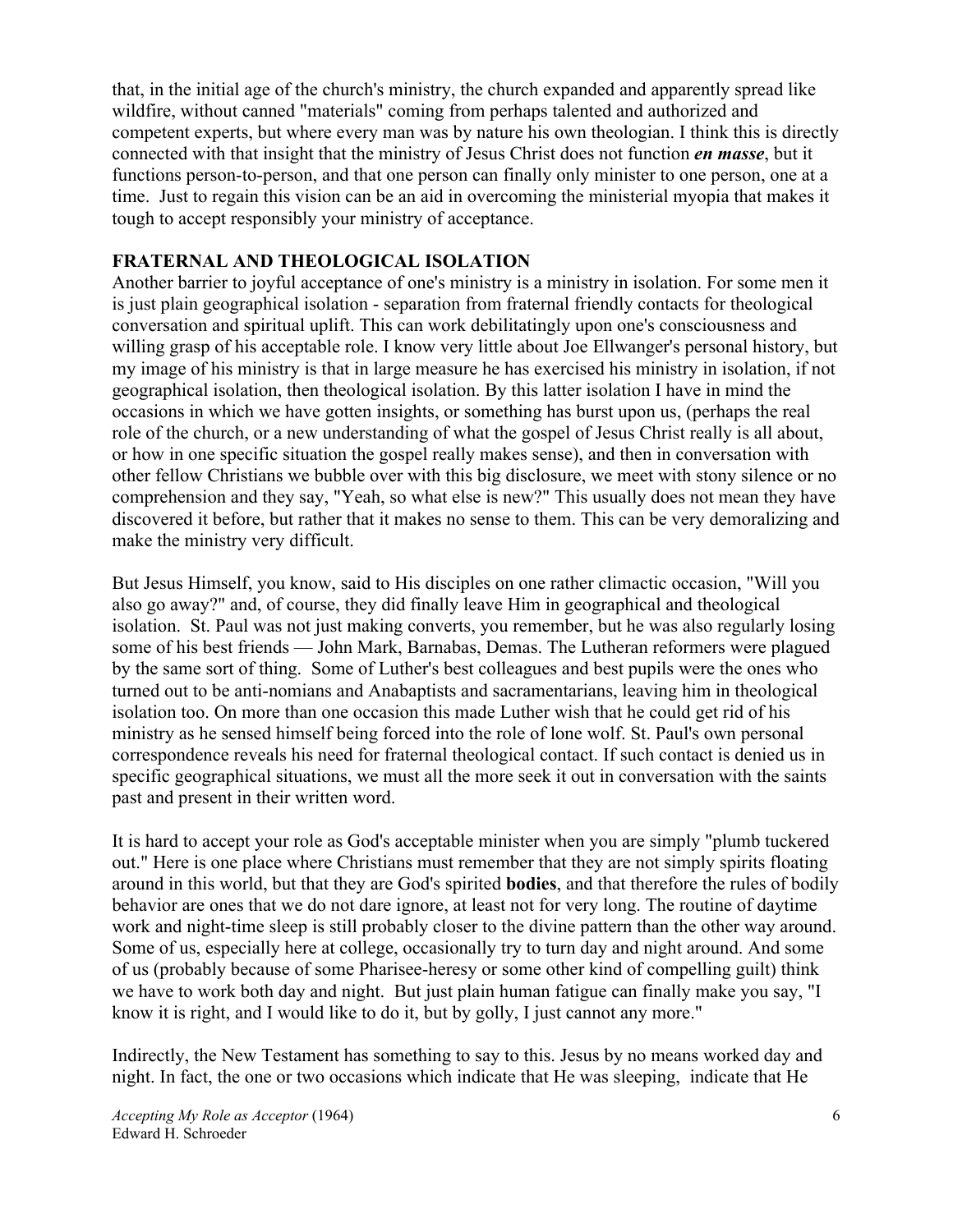that, in the initial age of the church's ministry, the church expanded and apparently spread like wildfire, without canned "materials" coming from perhaps talented and authorized and competent experts, but where every man was by nature his own theologian. I think this is directly connected with that insight that the ministry of Jesus Christ does not function *en masse*, but it functions person-to-person, and that one person can finally only minister to one person, one at a time. Just to regain this vision can be an aid in overcoming the ministerial myopia that makes it tough to accept responsibly your ministry of acceptance.

#### **FRATERNAL AND THEOLOGICAL ISOLATION**

Another barrier to joyful acceptance of one's ministry is a ministry in isolation. For some men it is just plain geographical isolation - separation from fraternal friendly contacts for theological conversation and spiritual uplift. This can work debilitatingly upon one's consciousness and willing grasp of his acceptable role. I know very little about Joe Ellwanger's personal history, but my image of his ministry is that in large measure he has exercised his ministry in isolation, if not geographical isolation, then theological isolation. By this latter isolation I have in mind the occasions in which we have gotten insights, or something has burst upon us, (perhaps the real role of the church, or a new understanding of what the gospel of Jesus Christ really is all about, or how in one specific situation the gospel really makes sense), and then in conversation with other fellow Christians we bubble over with this big disclosure, we meet with stony silence or no comprehension and they say, "Yeah, so what else is new?" This usually does not mean they have discovered it before, but rather that it makes no sense to them. This can be very demoralizing and make the ministry very difficult.

But Jesus Himself, you know, said to His disciples on one rather climactic occasion, "Will you also go away?" and, of course, they did finally leave Him in geographical and theological isolation. St. Paul was not just making converts, you remember, but he was also regularly losing some of his best friends — John Mark, Barnabas, Demas. The Lutheran reformers were plagued by the same sort of thing. Some of Luther's best colleagues and best pupils were the ones who turned out to be anti-nomians and Anabaptists and sacramentarians, leaving him in theological isolation too. On more than one occasion this made Luther wish that he could get rid of his ministry as he sensed himself being forced into the role of lone wolf. St. Paul's own personal correspondence reveals his need for fraternal theological contact. If such contact is denied us in specific geographical situations, we must all the more seek it out in conversation with the saints past and present in their written word.

It is hard to accept your role as God's acceptable minister when you are simply "plumb tuckered out." Here is one place where Christians must remember that they are not simply spirits floating around in this world, but that they are God's spirited **bodies**, and that therefore the rules of bodily behavior are ones that we do not dare ignore, at least not for very long. The routine of daytime work and night-time sleep is still probably closer to the divine pattern than the other way around. Some of us, especially here at college, occasionally try to turn day and night around. And some of us (probably because of some Pharisee-heresy or some other kind of compelling guilt) think we have to work both day and night. But just plain human fatigue can finally make you say, "I know it is right, and I would like to do it, but by golly, I just cannot any more."

Indirectly, the New Testament has something to say to this. Jesus by no means worked day and night. In fact, the one or two occasions which indicate that He was sleeping, indicate that He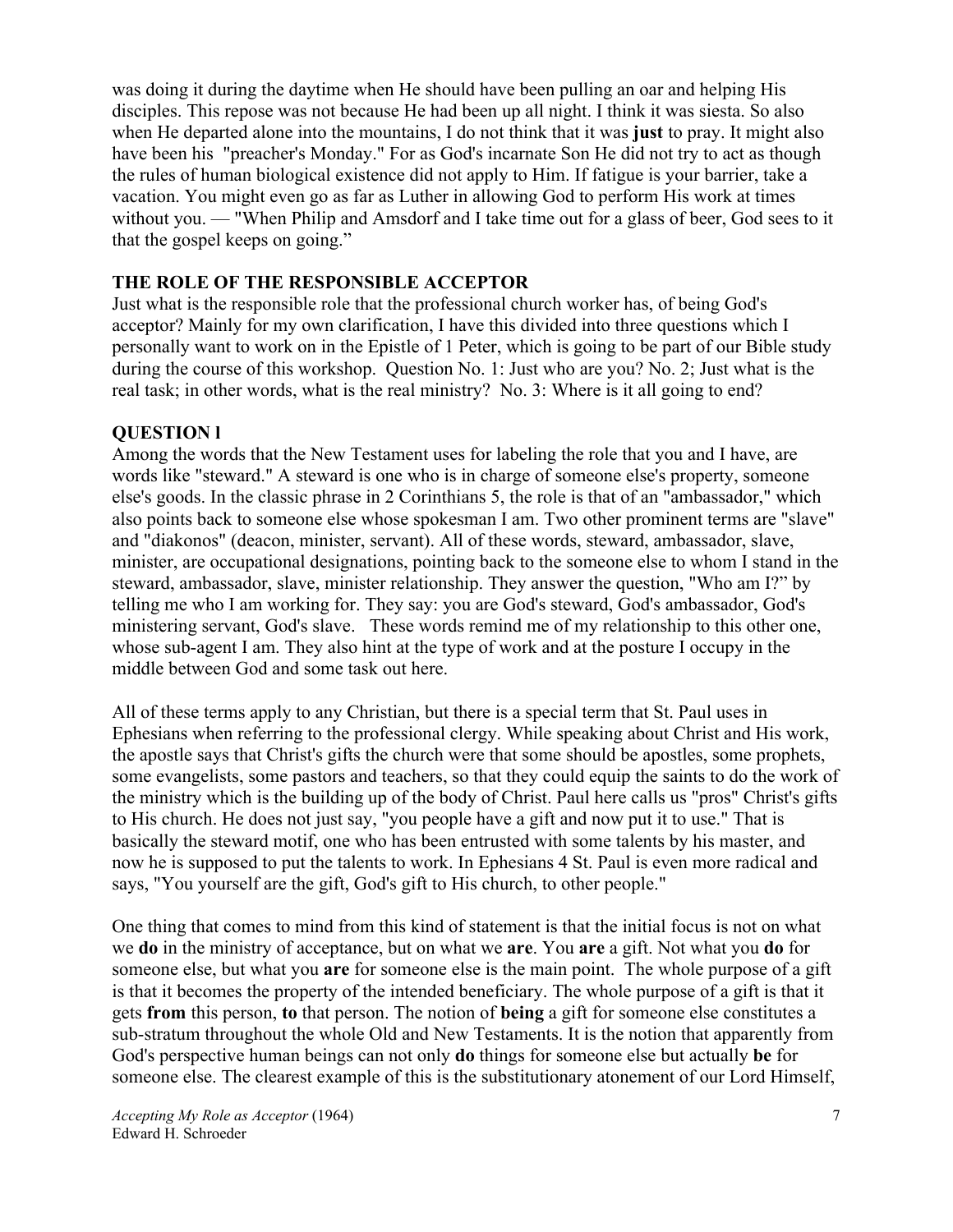was doing it during the daytime when He should have been pulling an oar and helping His disciples. This repose was not because He had been up all night. I think it was siesta. So also when He departed alone into the mountains, I do not think that it was **just** to pray. It might also have been his "preacher's Monday." For as God's incarnate Son He did not try to act as though the rules of human biological existence did not apply to Him. If fatigue is your barrier, take a vacation. You might even go as far as Luther in allowing God to perform His work at times without you. — "When Philip and Amsdorf and I take time out for a glass of beer, God sees to it that the gospel keeps on going."

## **THE ROLE OF THE RESPONSIBLE ACCEPTOR**

Just what is the responsible role that the professional church worker has, of being God's acceptor? Mainly for my own clarification, I have this divided into three questions which I personally want to work on in the Epistle of 1 Peter, which is going to be part of our Bible study during the course of this workshop. Question No. 1: Just who are you? No. 2; Just what is the real task; in other words, what is the real ministry? No. 3: Where is it all going to end?

#### **QUESTION l**

Among the words that the New Testament uses for labeling the role that you and I have, are words like "steward." A steward is one who is in charge of someone else's property, someone else's goods. In the classic phrase in 2 Corinthians 5, the role is that of an "ambassador," which also points back to someone else whose spokesman I am. Two other prominent terms are "slave" and "diakonos" (deacon, minister, servant). All of these words, steward, ambassador, slave, minister, are occupational designations, pointing back to the someone else to whom I stand in the steward, ambassador, slave, minister relationship. They answer the question, "Who am I?" by telling me who I am working for. They say: you are God's steward, God's ambassador, God's ministering servant, God's slave. These words remind me of my relationship to this other one, whose sub-agent I am. They also hint at the type of work and at the posture I occupy in the middle between God and some task out here.

All of these terms apply to any Christian, but there is a special term that St. Paul uses in Ephesians when referring to the professional clergy. While speaking about Christ and His work, the apostle says that Christ's gifts the church were that some should be apostles, some prophets, some evangelists, some pastors and teachers, so that they could equip the saints to do the work of the ministry which is the building up of the body of Christ. Paul here calls us "pros" Christ's gifts to His church. He does not just say, "you people have a gift and now put it to use." That is basically the steward motif, one who has been entrusted with some talents by his master, and now he is supposed to put the talents to work. In Ephesians 4 St. Paul is even more radical and says, "You yourself are the gift, God's gift to His church, to other people."

One thing that comes to mind from this kind of statement is that the initial focus is not on what we **do** in the ministry of acceptance, but on what we **are**. You **are** a gift. Not what you **do** for someone else, but what you **are** for someone else is the main point. The whole purpose of a gift is that it becomes the property of the intended beneficiary. The whole purpose of a gift is that it gets **from** this person, **to** that person. The notion of **being** a gift for someone else constitutes a sub-stratum throughout the whole Old and New Testaments. It is the notion that apparently from God's perspective human beings can not only **do** things for someone else but actually **be** for someone else. The clearest example of this is the substitutionary atonement of our Lord Himself,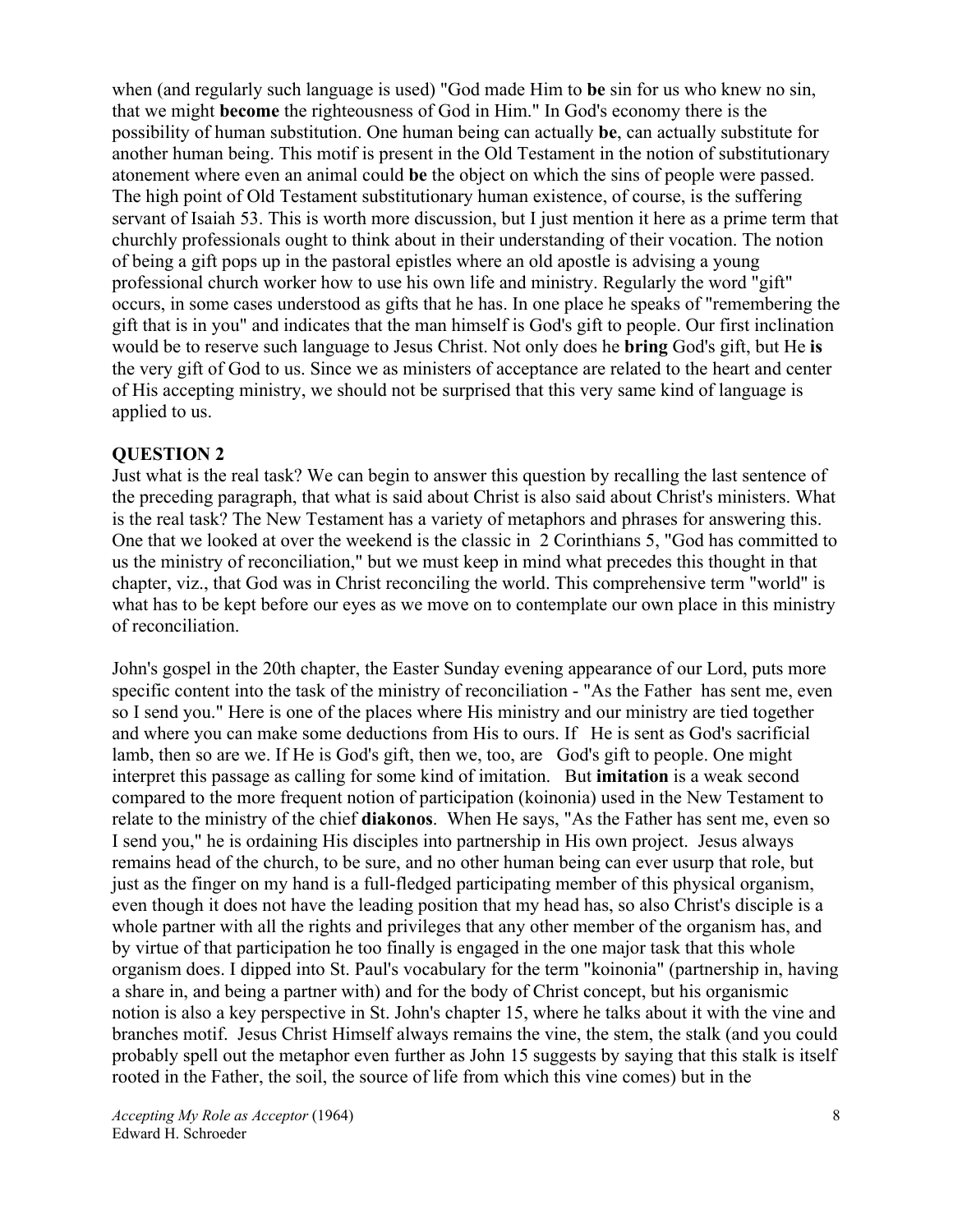when (and regularly such language is used) "God made Him to **be** sin for us who knew no sin, that we might **become** the righteousness of God in Him." In God's economy there is the possibility of human substitution. One human being can actually **be**, can actually substitute for another human being. This motif is present in the Old Testament in the notion of substitutionary atonement where even an animal could **be** the object on which the sins of people were passed. The high point of Old Testament substitutionary human existence, of course, is the suffering servant of Isaiah 53. This is worth more discussion, but I just mention it here as a prime term that churchly professionals ought to think about in their understanding of their vocation. The notion of being a gift pops up in the pastoral epistles where an old apostle is advising a young professional church worker how to use his own life and ministry. Regularly the word "gift" occurs, in some cases understood as gifts that he has. In one place he speaks of "remembering the gift that is in you" and indicates that the man himself is God's gift to people. Our first inclination would be to reserve such language to Jesus Christ. Not only does he **bring** God's gift, but He **is** the very gift of God to us. Since we as ministers of acceptance are related to the heart and center of His accepting ministry, we should not be surprised that this very same kind of language is applied to us.

#### **QUESTION 2**

Just what is the real task? We can begin to answer this question by recalling the last sentence of the preceding paragraph, that what is said about Christ is also said about Christ's ministers. What is the real task? The New Testament has a variety of metaphors and phrases for answering this. One that we looked at over the weekend is the classic in 2 Corinthians 5, "God has committed to us the ministry of reconciliation," but we must keep in mind what precedes this thought in that chapter, viz., that God was in Christ reconciling the world. This comprehensive term "world" is what has to be kept before our eyes as we move on to contemplate our own place in this ministry of reconciliation.

John's gospel in the 20th chapter, the Easter Sunday evening appearance of our Lord, puts more specific content into the task of the ministry of reconciliation - "As the Father has sent me, even so I send you." Here is one of the places where His ministry and our ministry are tied together and where you can make some deductions from His to ours. If He is sent as God's sacrificial lamb, then so are we. If He is God's gift, then we, too, are God's gift to people. One might interpret this passage as calling for some kind of imitation. But **imitation** is a weak second compared to the more frequent notion of participation (koinonia) used in the New Testament to relate to the ministry of the chief **diakonos**. When He says, "As the Father has sent me, even so I send you," he is ordaining His disciples into partnership in His own project. Jesus always remains head of the church, to be sure, and no other human being can ever usurp that role, but just as the finger on my hand is a full-fledged participating member of this physical organism, even though it does not have the leading position that my head has, so also Christ's disciple is a whole partner with all the rights and privileges that any other member of the organism has, and by virtue of that participation he too finally is engaged in the one major task that this whole organism does. I dipped into St. Paul's vocabulary for the term "koinonia" (partnership in, having a share in, and being a partner with) and for the body of Christ concept, but his organismic notion is also a key perspective in St. John's chapter 15, where he talks about it with the vine and branches motif. Jesus Christ Himself always remains the vine, the stem, the stalk (and you could probably spell out the metaphor even further as John 15 suggests by saying that this stalk is itself rooted in the Father, the soil, the source of life from which this vine comes) but in the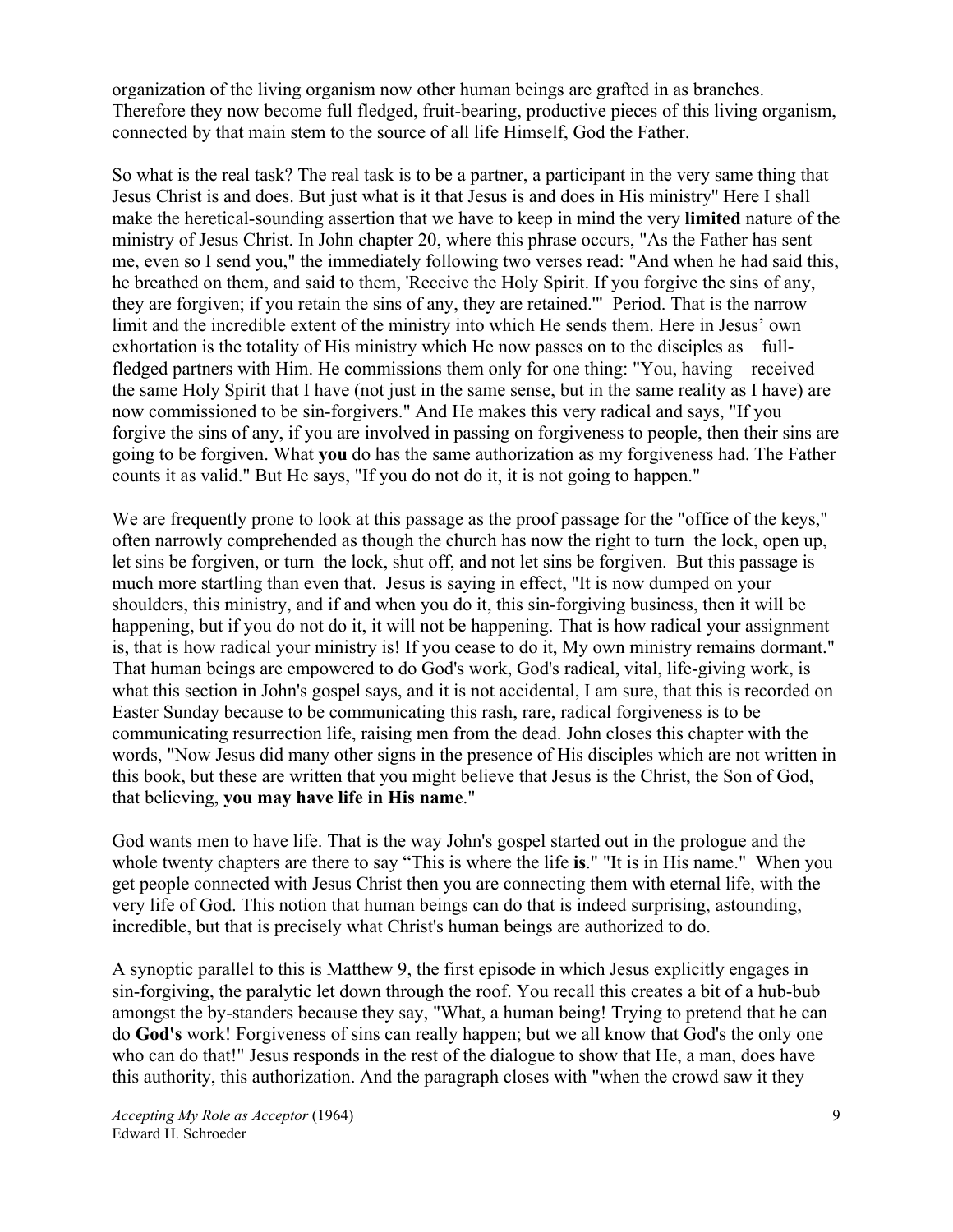organization of the living organism now other human beings are grafted in as branches. Therefore they now become full fledged, fruit-bearing, productive pieces of this living organism, connected by that main stem to the source of all life Himself, God the Father.

So what is the real task? The real task is to be a partner, a participant in the very same thing that Jesus Christ is and does. But just what is it that Jesus is and does in His ministry'' Here I shall make the heretical-sounding assertion that we have to keep in mind the very **limited** nature of the ministry of Jesus Christ. In John chapter 20, where this phrase occurs, "As the Father has sent me, even so I send you," the immediately following two verses read: "And when he had said this, he breathed on them, and said to them, 'Receive the Holy Spirit. If you forgive the sins of any, they are forgiven; if you retain the sins of any, they are retained.'" Period. That is the narrow limit and the incredible extent of the ministry into which He sends them. Here in Jesus' own exhortation is the totality of His ministry which He now passes on to the disciples as fullfledged partners with Him. He commissions them only for one thing: "You, having received the same Holy Spirit that I have (not just in the same sense, but in the same reality as I have) are now commissioned to be sin-forgivers." And He makes this very radical and says, "If you forgive the sins of any, if you are involved in passing on forgiveness to people, then their sins are going to be forgiven. What **you** do has the same authorization as my forgiveness had. The Father counts it as valid." But He says, "If you do not do it, it is not going to happen."

We are frequently prone to look at this passage as the proof passage for the "office of the keys," often narrowly comprehended as though the church has now the right to turn the lock, open up, let sins be forgiven, or turn the lock, shut off, and not let sins be forgiven. But this passage is much more startling than even that. Jesus is saying in effect, "It is now dumped on your shoulders, this ministry, and if and when you do it, this sin-forgiving business, then it will be happening, but if you do not do it, it will not be happening. That is how radical your assignment is, that is how radical your ministry is! If you cease to do it, My own ministry remains dormant." That human beings are empowered to do God's work, God's radical, vital, life-giving work, is what this section in John's gospel says, and it is not accidental, I am sure, that this is recorded on Easter Sunday because to be communicating this rash, rare, radical forgiveness is to be communicating resurrection life, raising men from the dead. John closes this chapter with the words, "Now Jesus did many other signs in the presence of His disciples which are not written in this book, but these are written that you might believe that Jesus is the Christ, the Son of God, that believing, **you may have life in His name**."

God wants men to have life. That is the way John's gospel started out in the prologue and the whole twenty chapters are there to say "This is where the life **is**." "It is in His name." When you get people connected with Jesus Christ then you are connecting them with eternal life, with the very life of God. This notion that human beings can do that is indeed surprising, astounding, incredible, but that is precisely what Christ's human beings are authorized to do.

A synoptic parallel to this is Matthew 9, the first episode in which Jesus explicitly engages in sin-forgiving, the paralytic let down through the roof. You recall this creates a bit of a hub-bub amongst the by-standers because they say, "What, a human being! Trying to pretend that he can do **God's** work! Forgiveness of sins can really happen; but we all know that God's the only one who can do that!" Jesus responds in the rest of the dialogue to show that He, a man, does have this authority, this authorization. And the paragraph closes with "when the crowd saw it they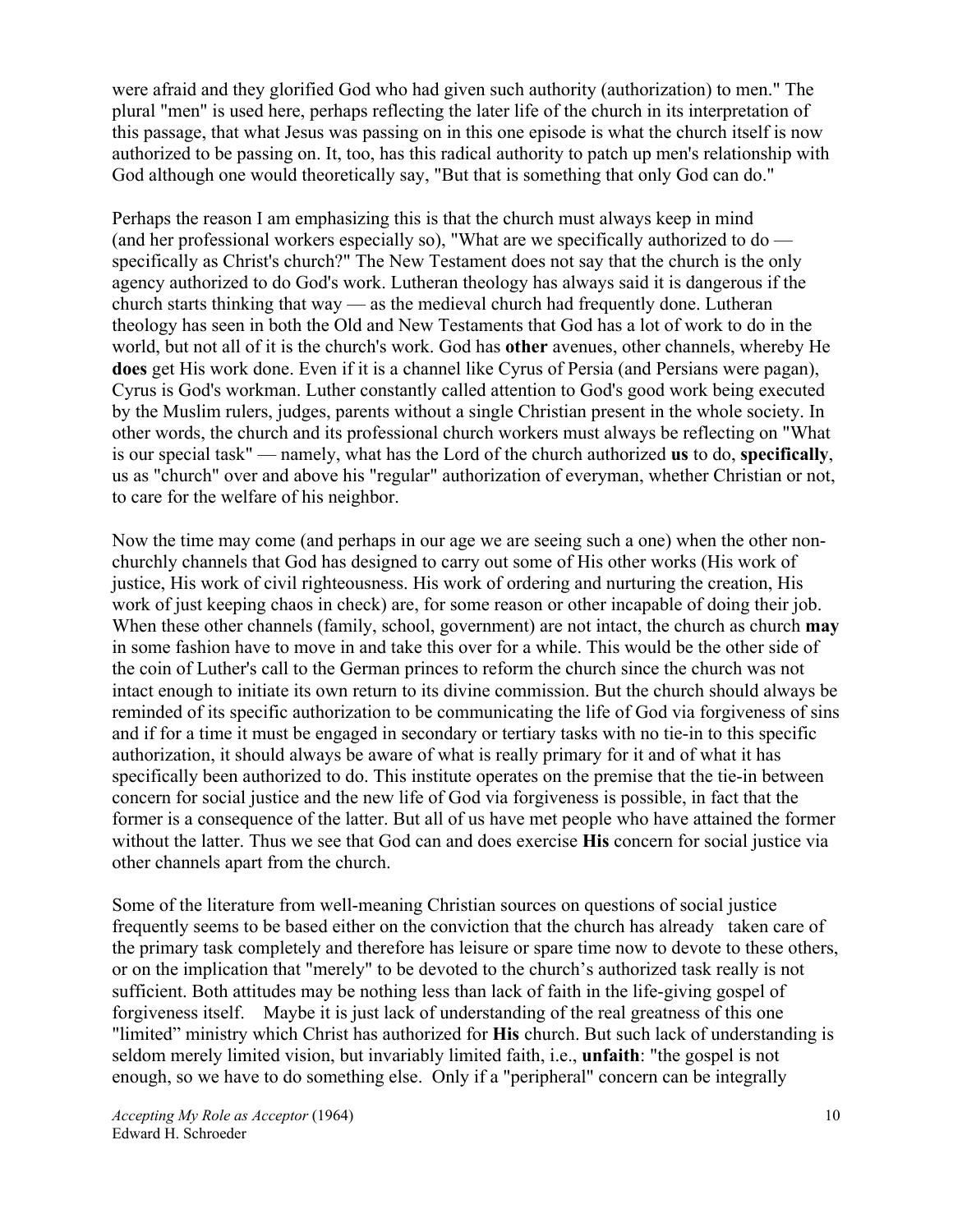were afraid and they glorified God who had given such authority (authorization) to men." The plural "men" is used here, perhaps reflecting the later life of the church in its interpretation of this passage, that what Jesus was passing on in this one episode is what the church itself is now authorized to be passing on. It, too, has this radical authority to patch up men's relationship with God although one would theoretically say, "But that is something that only God can do."

Perhaps the reason I am emphasizing this is that the church must always keep in mind (and her professional workers especially so), "What are we specifically authorized to do specifically as Christ's church?" The New Testament does not say that the church is the only agency authorized to do God's work. Lutheran theology has always said it is dangerous if the church starts thinking that way — as the medieval church had frequently done. Lutheran theology has seen in both the Old and New Testaments that God has a lot of work to do in the world, but not all of it is the church's work. God has **other** avenues, other channels, whereby He **does** get His work done. Even if it is a channel like Cyrus of Persia (and Persians were pagan), Cyrus is God's workman. Luther constantly called attention to God's good work being executed by the Muslim rulers, judges, parents without a single Christian present in the whole society. In other words, the church and its professional church workers must always be reflecting on "What is our special task" — namely, what has the Lord of the church authorized **us** to do, **specifically**, us as "church" over and above his "regular" authorization of everyman, whether Christian or not, to care for the welfare of his neighbor.

Now the time may come (and perhaps in our age we are seeing such a one) when the other nonchurchly channels that God has designed to carry out some of His other works (His work of justice, His work of civil righteousness. His work of ordering and nurturing the creation, His work of just keeping chaos in check) are, for some reason or other incapable of doing their job. When these other channels (family, school, government) are not intact, the church as church **may** in some fashion have to move in and take this over for a while. This would be the other side of the coin of Luther's call to the German princes to reform the church since the church was not intact enough to initiate its own return to its divine commission. But the church should always be reminded of its specific authorization to be communicating the life of God via forgiveness of sins and if for a time it must be engaged in secondary or tertiary tasks with no tie-in to this specific authorization, it should always be aware of what is really primary for it and of what it has specifically been authorized to do. This institute operates on the premise that the tie-in between concern for social justice and the new life of God via forgiveness is possible, in fact that the former is a consequence of the latter. But all of us have met people who have attained the former without the latter. Thus we see that God can and does exercise **His** concern for social justice via other channels apart from the church.

Some of the literature from well-meaning Christian sources on questions of social justice frequently seems to be based either on the conviction that the church has already taken care of the primary task completely and therefore has leisure or spare time now to devote to these others, or on the implication that "merely" to be devoted to the church's authorized task really is not sufficient. Both attitudes may be nothing less than lack of faith in the life-giving gospel of forgiveness itself. Maybe it is just lack of understanding of the real greatness of this one "limited" ministry which Christ has authorized for **His** church. But such lack of understanding is seldom merely limited vision, but invariably limited faith, i.e., **unfaith**: "the gospel is not enough, so we have to do something else. Only if a "peripheral" concern can be integrally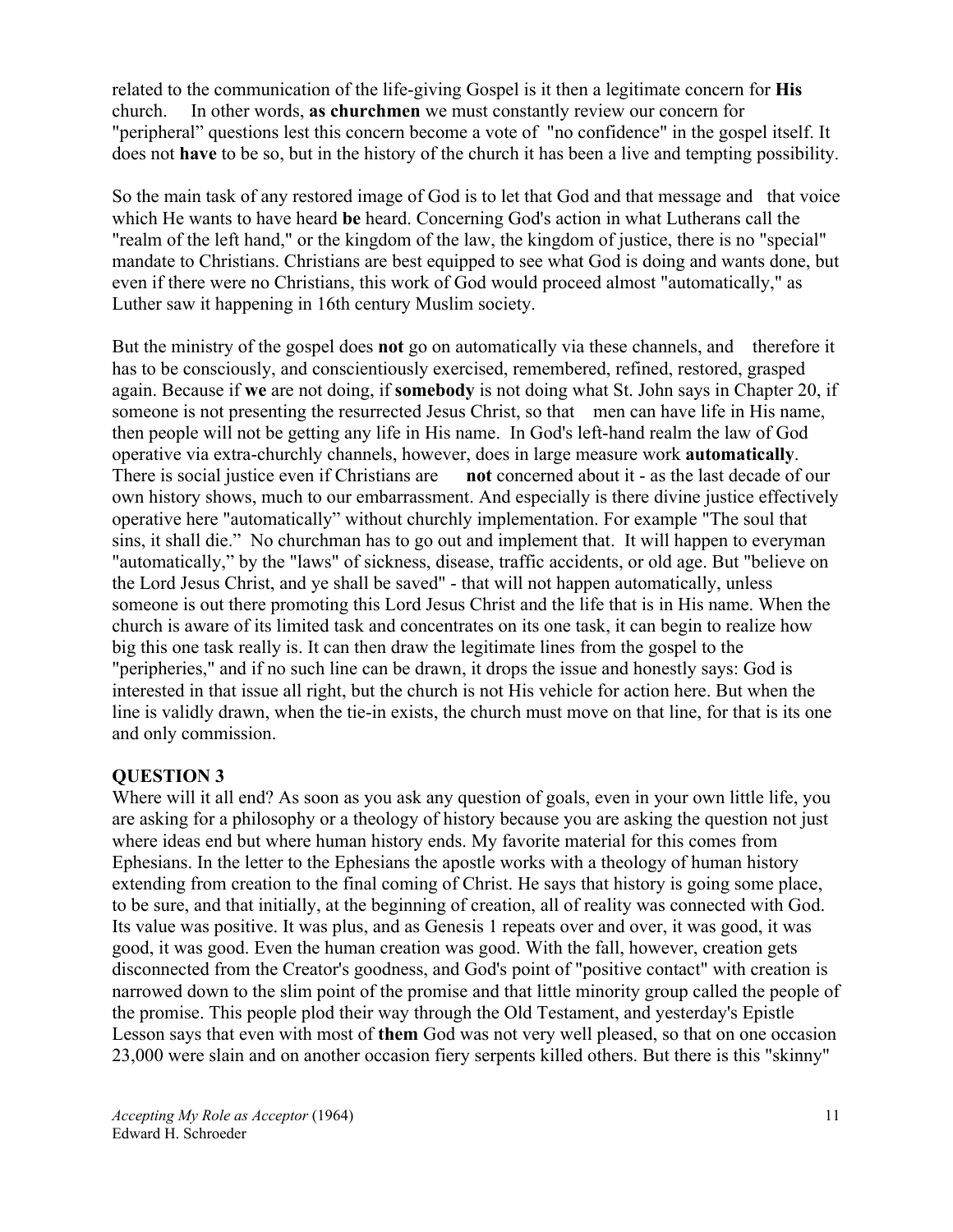related to the communication of the life-giving Gospel is it then a legitimate concern for **His** church. In other words, **as churchmen** we must constantly review our concern for "peripheral" questions lest this concern become a vote of "no confidence" in the gospel itself. It does not **have** to be so, but in the history of the church it has been a live and tempting possibility.

So the main task of any restored image of God is to let that God and that message and that voice which He wants to have heard **be** heard. Concerning God's action in what Lutherans call the "realm of the left hand," or the kingdom of the law, the kingdom of justice, there is no "special" mandate to Christians. Christians are best equipped to see what God is doing and wants done, but even if there were no Christians, this work of God would proceed almost "automatically," as Luther saw it happening in 16th century Muslim society.

But the ministry of the gospel does **not** go on automatically via these channels, and therefore it has to be consciously, and conscientiously exercised, remembered, refined, restored, grasped again. Because if **we** are not doing, if **somebody** is not doing what St. John says in Chapter 20, if someone is not presenting the resurrected Jesus Christ, so that men can have life in His name, then people will not be getting any life in His name. In God's left-hand realm the law of God operative via extra-churchly channels, however, does in large measure work **automatically**. There is social justice even if Christians are **not** concerned about it - as the last decade of our own history shows, much to our embarrassment. And especially is there divine justice effectively operative here "automatically" without churchly implementation. For example "The soul that sins, it shall die." No churchman has to go out and implement that. It will happen to everyman "automatically," by the "laws" of sickness, disease, traffic accidents, or old age. But "believe on the Lord Jesus Christ, and ye shall be saved" - that will not happen automatically, unless someone is out there promoting this Lord Jesus Christ and the life that is in His name. When the church is aware of its limited task and concentrates on its one task, it can begin to realize how big this one task really is. It can then draw the legitimate lines from the gospel to the "peripheries," and if no such line can be drawn, it drops the issue and honestly says: God is interested in that issue all right, but the church is not His vehicle for action here. But when the line is validly drawn, when the tie-in exists, the church must move on that line, for that is its one and only commission.

#### **QUESTION 3**

Where will it all end? As soon as you ask any question of goals, even in your own little life, you are asking for a philosophy or a theology of history because you are asking the question not just where ideas end but where human history ends. My favorite material for this comes from Ephesians. In the letter to the Ephesians the apostle works with a theology of human history extending from creation to the final coming of Christ. He says that history is going some place, to be sure, and that initially, at the beginning of creation, all of reality was connected with God. Its value was positive. It was plus, and as Genesis 1 repeats over and over, it was good, it was good, it was good. Even the human creation was good. With the fall, however, creation gets disconnected from the Creator's goodness, and God's point of "positive contact" with creation is narrowed down to the slim point of the promise and that little minority group called the people of the promise. This people plod their way through the Old Testament, and yesterday's Epistle Lesson says that even with most of **them** God was not very well pleased, so that on one occasion 23,000 were slain and on another occasion fiery serpents killed others. But there is this "skinny"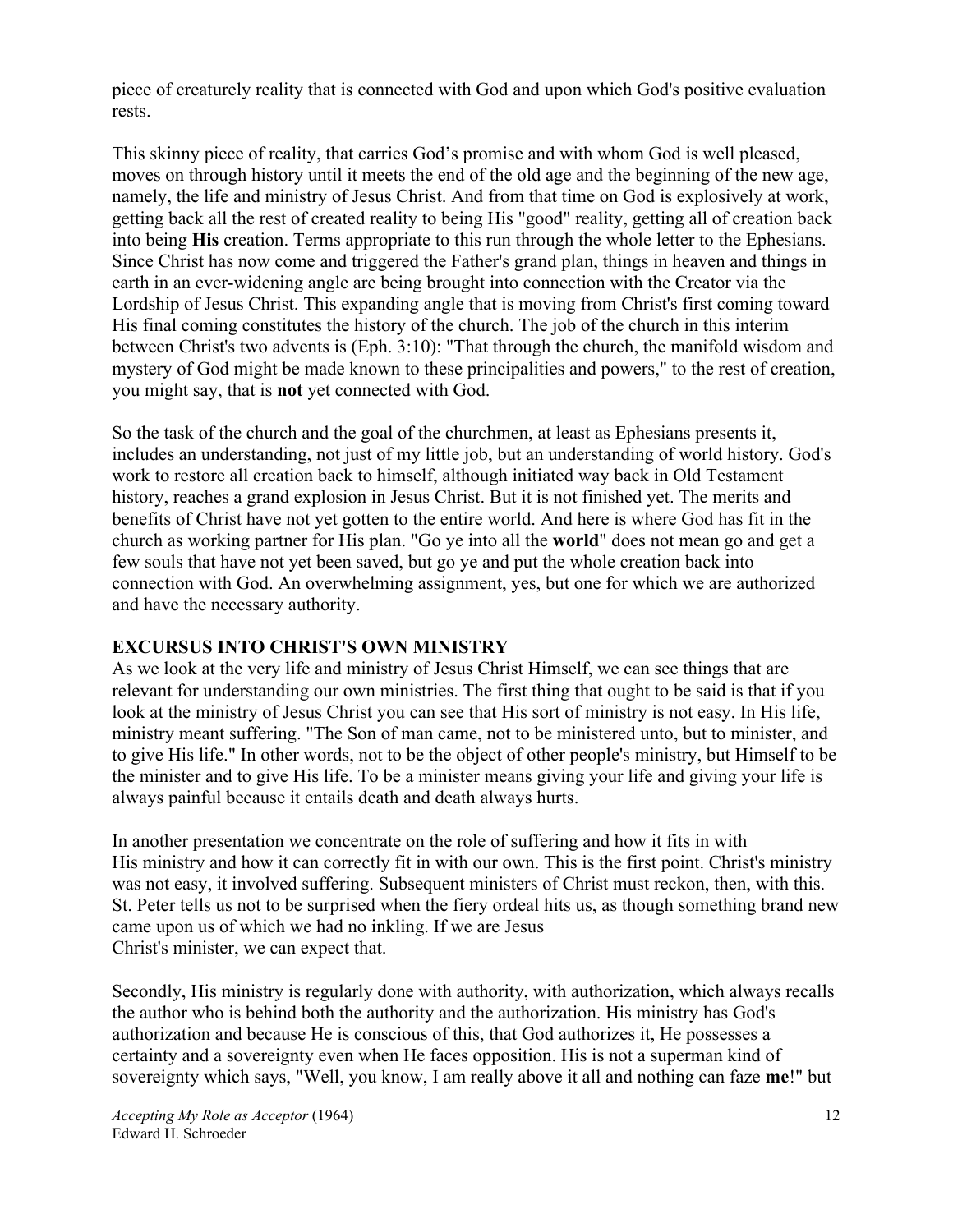piece of creaturely reality that is connected with God and upon which God's positive evaluation rests.

This skinny piece of reality, that carries God's promise and with whom God is well pleased, moves on through history until it meets the end of the old age and the beginning of the new age, namely, the life and ministry of Jesus Christ. And from that time on God is explosively at work, getting back all the rest of created reality to being His "good" reality, getting all of creation back into being **His** creation. Terms appropriate to this run through the whole letter to the Ephesians. Since Christ has now come and triggered the Father's grand plan, things in heaven and things in earth in an ever-widening angle are being brought into connection with the Creator via the Lordship of Jesus Christ. This expanding angle that is moving from Christ's first coming toward His final coming constitutes the history of the church. The job of the church in this interim between Christ's two advents is (Eph. 3:10): "That through the church, the manifold wisdom and mystery of God might be made known to these principalities and powers," to the rest of creation, you might say, that is **not** yet connected with God.

So the task of the church and the goal of the churchmen, at least as Ephesians presents it, includes an understanding, not just of my little job, but an understanding of world history. God's work to restore all creation back to himself, although initiated way back in Old Testament history, reaches a grand explosion in Jesus Christ. But it is not finished yet. The merits and benefits of Christ have not yet gotten to the entire world. And here is where God has fit in the church as working partner for His plan. "Go ye into all the **world**" does not mean go and get a few souls that have not yet been saved, but go ye and put the whole creation back into connection with God. An overwhelming assignment, yes, but one for which we are authorized and have the necessary authority.

#### **EXCURSUS INTO CHRIST'S OWN MINISTRY**

As we look at the very life and ministry of Jesus Christ Himself, we can see things that are relevant for understanding our own ministries. The first thing that ought to be said is that if you look at the ministry of Jesus Christ you can see that His sort of ministry is not easy. In His life, ministry meant suffering. "The Son of man came, not to be ministered unto, but to minister, and to give His life." In other words, not to be the object of other people's ministry, but Himself to be the minister and to give His life. To be a minister means giving your life and giving your life is always painful because it entails death and death always hurts.

In another presentation we concentrate on the role of suffering and how it fits in with His ministry and how it can correctly fit in with our own. This is the first point. Christ's ministry was not easy, it involved suffering. Subsequent ministers of Christ must reckon, then, with this. St. Peter tells us not to be surprised when the fiery ordeal hits us, as though something brand new came upon us of which we had no inkling. If we are Jesus Christ's minister, we can expect that.

Secondly, His ministry is regularly done with authority, with authorization, which always recalls the author who is behind both the authority and the authorization. His ministry has God's authorization and because He is conscious of this, that God authorizes it, He possesses a certainty and a sovereignty even when He faces opposition. His is not a superman kind of sovereignty which says, "Well, you know, I am really above it all and nothing can faze **me**!" but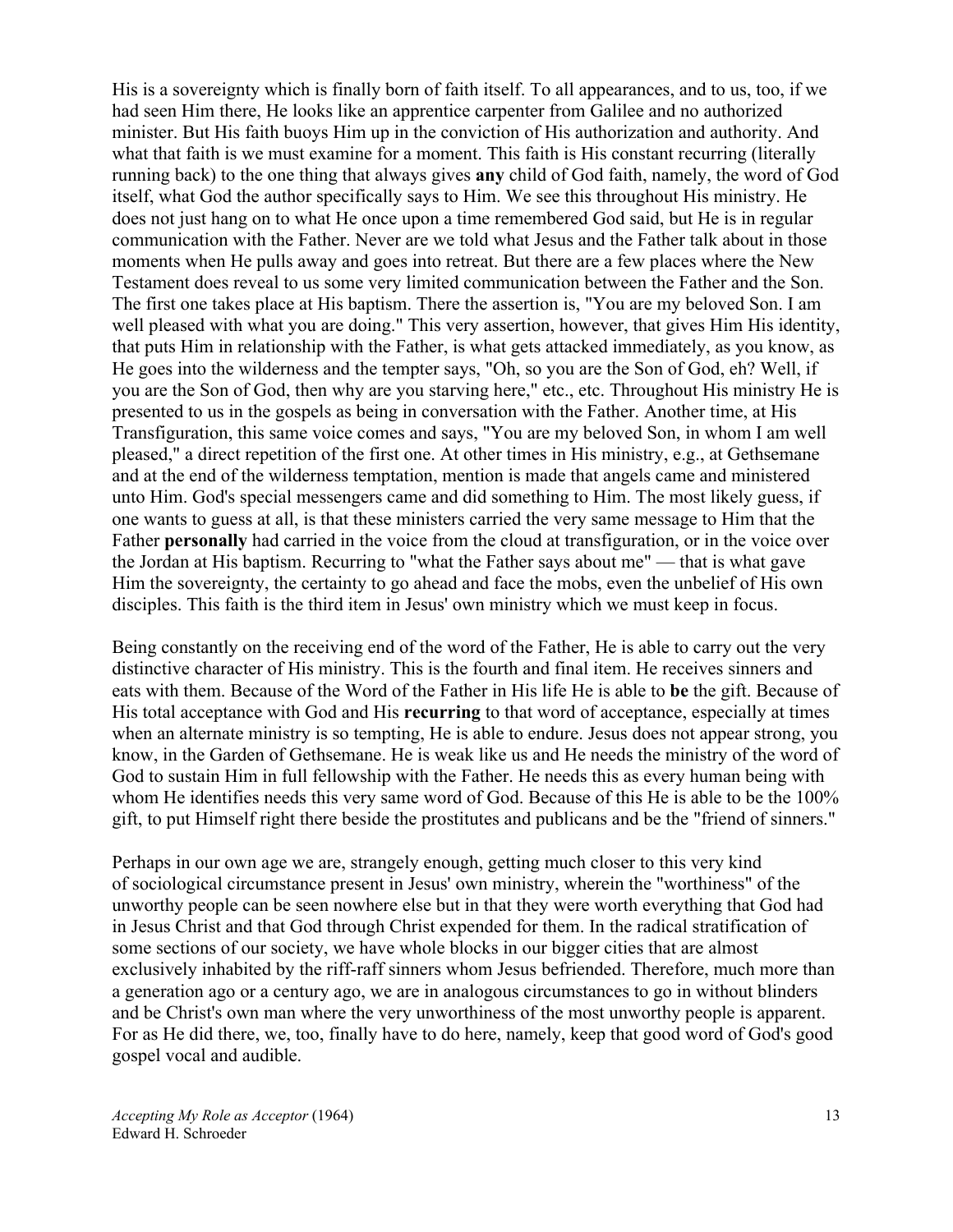His is a sovereignty which is finally born of faith itself. To all appearances, and to us, too, if we had seen Him there, He looks like an apprentice carpenter from Galilee and no authorized minister. But His faith buoys Him up in the conviction of His authorization and authority. And what that faith is we must examine for a moment. This faith is His constant recurring (literally running back) to the one thing that always gives **any** child of God faith, namely, the word of God itself, what God the author specifically says to Him. We see this throughout His ministry. He does not just hang on to what He once upon a time remembered God said, but He is in regular communication with the Father. Never are we told what Jesus and the Father talk about in those moments when He pulls away and goes into retreat. But there are a few places where the New Testament does reveal to us some very limited communication between the Father and the Son. The first one takes place at His baptism. There the assertion is, "You are my beloved Son. I am well pleased with what you are doing." This very assertion, however, that gives Him His identity, that puts Him in relationship with the Father, is what gets attacked immediately, as you know, as He goes into the wilderness and the tempter says, "Oh, so you are the Son of God, eh? Well, if you are the Son of God, then why are you starving here," etc., etc. Throughout His ministry He is presented to us in the gospels as being in conversation with the Father. Another time, at His Transfiguration, this same voice comes and says, "You are my beloved Son, in whom I am well pleased," a direct repetition of the first one. At other times in His ministry, e.g., at Gethsemane and at the end of the wilderness temptation, mention is made that angels came and ministered unto Him. God's special messengers came and did something to Him. The most likely guess, if one wants to guess at all, is that these ministers carried the very same message to Him that the Father **personally** had carried in the voice from the cloud at transfiguration, or in the voice over the Jordan at His baptism. Recurring to "what the Father says about me" — that is what gave Him the sovereignty, the certainty to go ahead and face the mobs, even the unbelief of His own disciples. This faith is the third item in Jesus' own ministry which we must keep in focus.

Being constantly on the receiving end of the word of the Father, He is able to carry out the very distinctive character of His ministry. This is the fourth and final item. He receives sinners and eats with them. Because of the Word of the Father in His life He is able to **be** the gift. Because of His total acceptance with God and His **recurring** to that word of acceptance, especially at times when an alternate ministry is so tempting, He is able to endure. Jesus does not appear strong, you know, in the Garden of Gethsemane. He is weak like us and He needs the ministry of the word of God to sustain Him in full fellowship with the Father. He needs this as every human being with whom He identifies needs this very same word of God. Because of this He is able to be the 100% gift, to put Himself right there beside the prostitutes and publicans and be the "friend of sinners."

Perhaps in our own age we are, strangely enough, getting much closer to this very kind of sociological circumstance present in Jesus' own ministry, wherein the "worthiness" of the unworthy people can be seen nowhere else but in that they were worth everything that God had in Jesus Christ and that God through Christ expended for them. In the radical stratification of some sections of our society, we have whole blocks in our bigger cities that are almost exclusively inhabited by the riff-raff sinners whom Jesus befriended. Therefore, much more than a generation ago or a century ago, we are in analogous circumstances to go in without blinders and be Christ's own man where the very unworthiness of the most unworthy people is apparent. For as He did there, we, too, finally have to do here, namely, keep that good word of God's good gospel vocal and audible.